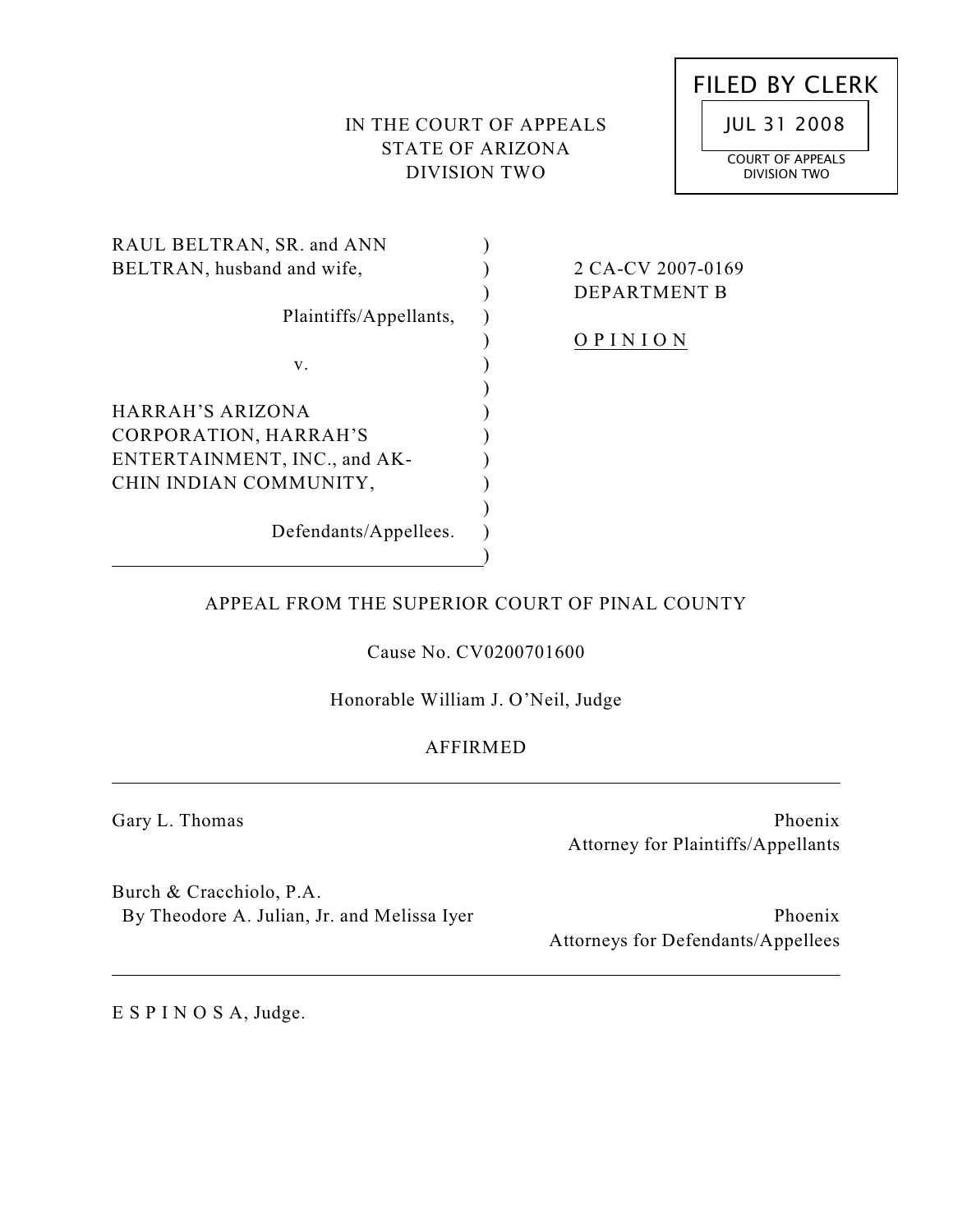# IN THE COURT OF APPEALS STATE OF ARIZONA DIVISION TWO



| RAUL BELTRAN, SR. and ANN    |       |
|------------------------------|-------|
| BELTRAN, husband and wife,   | 2 C A |
|                              | DEP   |
| Plaintiffs/Appellants,       |       |
|                              |       |
| v.                           |       |
|                              |       |
| HARRAH'S ARIZONA             |       |
| CORPORATION, HARRAH'S        |       |
| ENTERTAINMENT, INC., and AK- |       |
| CHIN INDIAN COMMUNITY,       |       |
|                              |       |
| Defendants/Appellees.        |       |
|                              |       |

# $\angle$  CV 2007-0169 **ARTMENT B**

<u>I N I O N</u>

# APPEAL FROM THE SUPERIOR COURT OF PINAL COUNTY

Cause No. CV0200701600

Honorable William J. O'Neil, Judge

# AFFIRMED

Gary L. Thomas

Phoenix Attorney for Plaintiffs/Appellants

Burch & Cracchiolo, P.A. By Theodore A. Julian, Jr. and Melissa Iyer

Phoenix Attorneys for Defendants/Appellees

E S P I N O S A, Judge.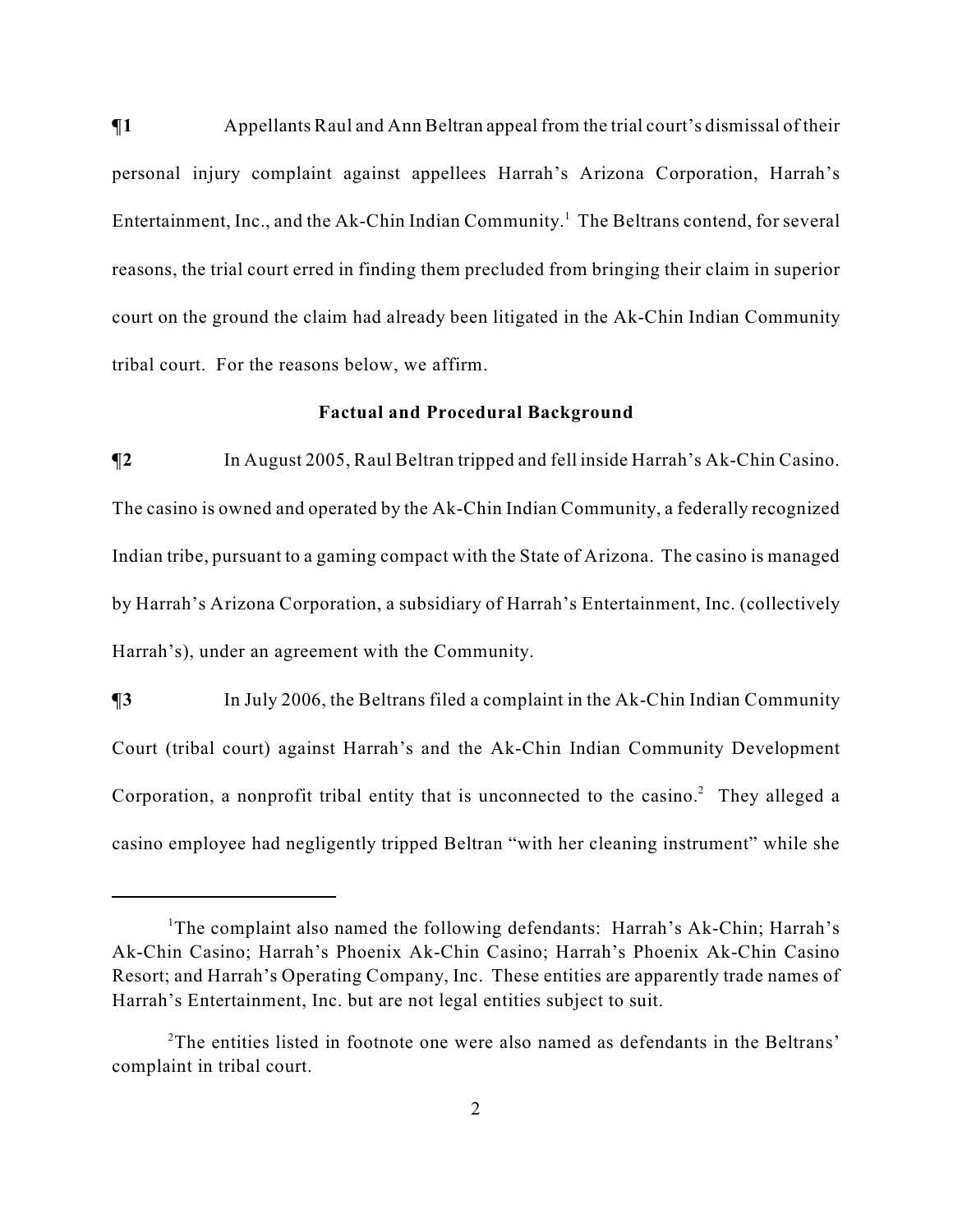$\P$ **1** Appellants Raul and Ann Beltran appeal from the trial court's dismissal of their personal injury complaint against appellees Harrah's Arizona Corporation, Harrah's Entertainment, Inc., and the Ak-Chin Indian Community.<sup>1</sup> The Beltrans contend, for several reasons, the trial court erred in finding them precluded from bringing their claim in superior court on the ground the claim had already been litigated in the Ak-Chin Indian Community tribal court. For the reasons below, we affirm.

### **Factual and Procedural Background**

**¶2** In August 2005, Raul Beltran tripped and fell inside Harrah's Ak-Chin Casino. The casino is owned and operated by the Ak-Chin Indian Community, a federally recognized Indian tribe, pursuant to a gaming compact with the State of Arizona. The casino is managed by Harrah's Arizona Corporation, a subsidiary of Harrah's Entertainment, Inc. (collectively Harrah's), under an agreement with the Community.

 $\P$ **3** In July 2006, the Beltrans filed a complaint in the Ak-Chin Indian Community Court (tribal court) against Harrah's and the Ak-Chin Indian Community Development Corporation, a nonprofit tribal entity that is unconnected to the casino.<sup>2</sup> They alleged a casino employee had negligently tripped Beltran "with her cleaning instrument" while she

<sup>&</sup>lt;sup>1</sup>The complaint also named the following defendants: Harrah's Ak-Chin; Harrah's Ak-Chin Casino; Harrah's Phoenix Ak-Chin Casino; Harrah's Phoenix Ak-Chin Casino Resort; and Harrah's Operating Company, Inc. These entities are apparently trade names of Harrah's Entertainment, Inc. but are not legal entities subject to suit.

 $2^2$ The entities listed in footnote one were also named as defendants in the Beltrans' complaint in tribal court.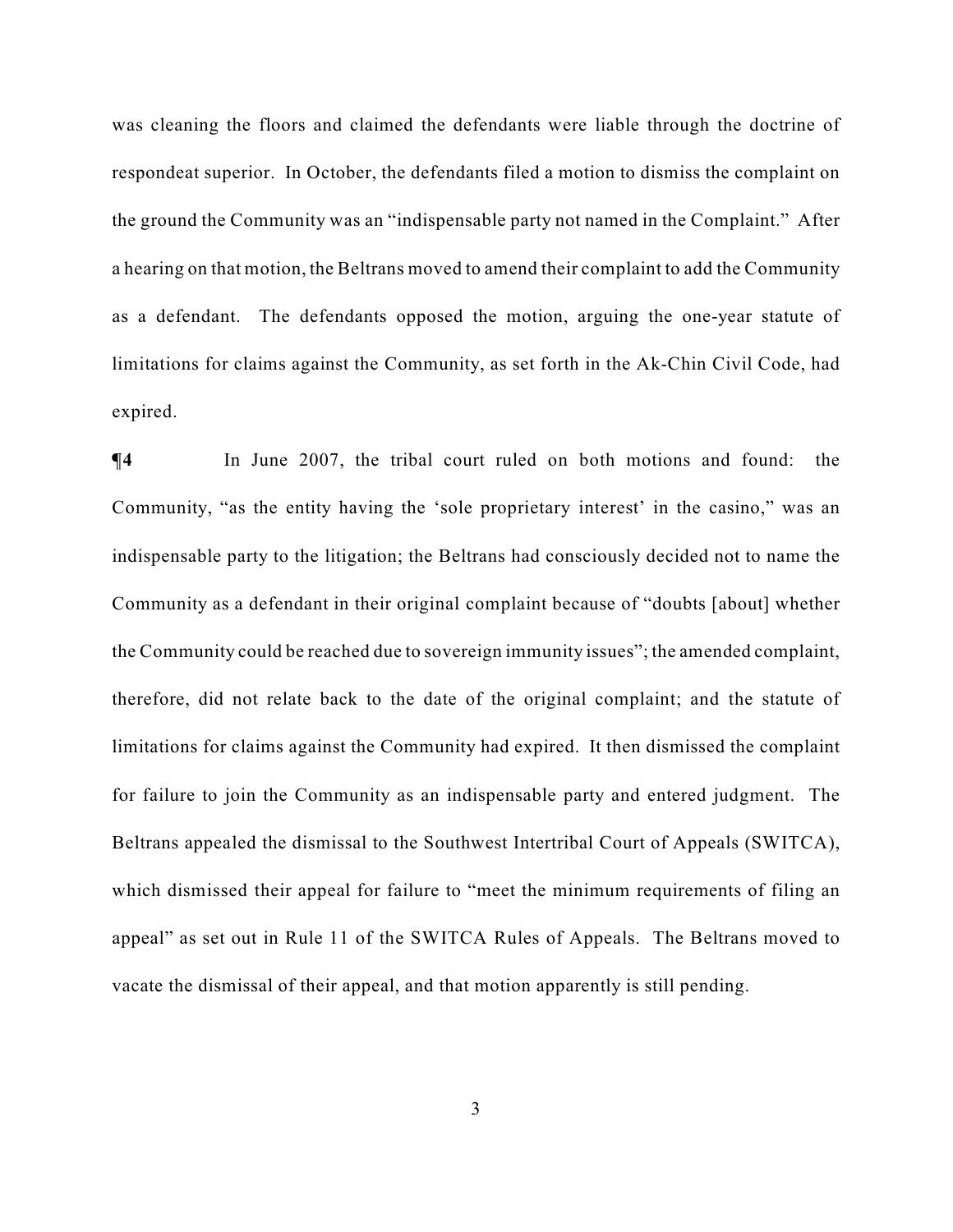was cleaning the floors and claimed the defendants were liable through the doctrine of respondeat superior. In October, the defendants filed a motion to dismiss the complaint on the ground the Community was an "indispensable party not named in the Complaint." After a hearing on that motion, the Beltrans moved to amend their complaint to add the Community as a defendant. The defendants opposed the motion, arguing the one-year statute of limitations for claims against the Community, as set forth in the Ak-Chin Civil Code, had expired.

**¶4** In June 2007, the tribal court ruled on both motions and found: the Community, "as the entity having the 'sole proprietary interest' in the casino," was an indispensable party to the litigation; the Beltrans had consciously decided not to name the Community as a defendant in their original complaint because of "doubts [about] whether the Community could be reached due to sovereign immunity issues"; the amended complaint, therefore, did not relate back to the date of the original complaint; and the statute of limitations for claims against the Community had expired. It then dismissed the complaint for failure to join the Community as an indispensable party and entered judgment. The Beltrans appealed the dismissal to the Southwest Intertribal Court of Appeals (SWITCA), which dismissed their appeal for failure to "meet the minimum requirements of filing an appeal" as set out in Rule 11 of the SWITCA Rules of Appeals. The Beltrans moved to vacate the dismissal of their appeal, and that motion apparently is still pending.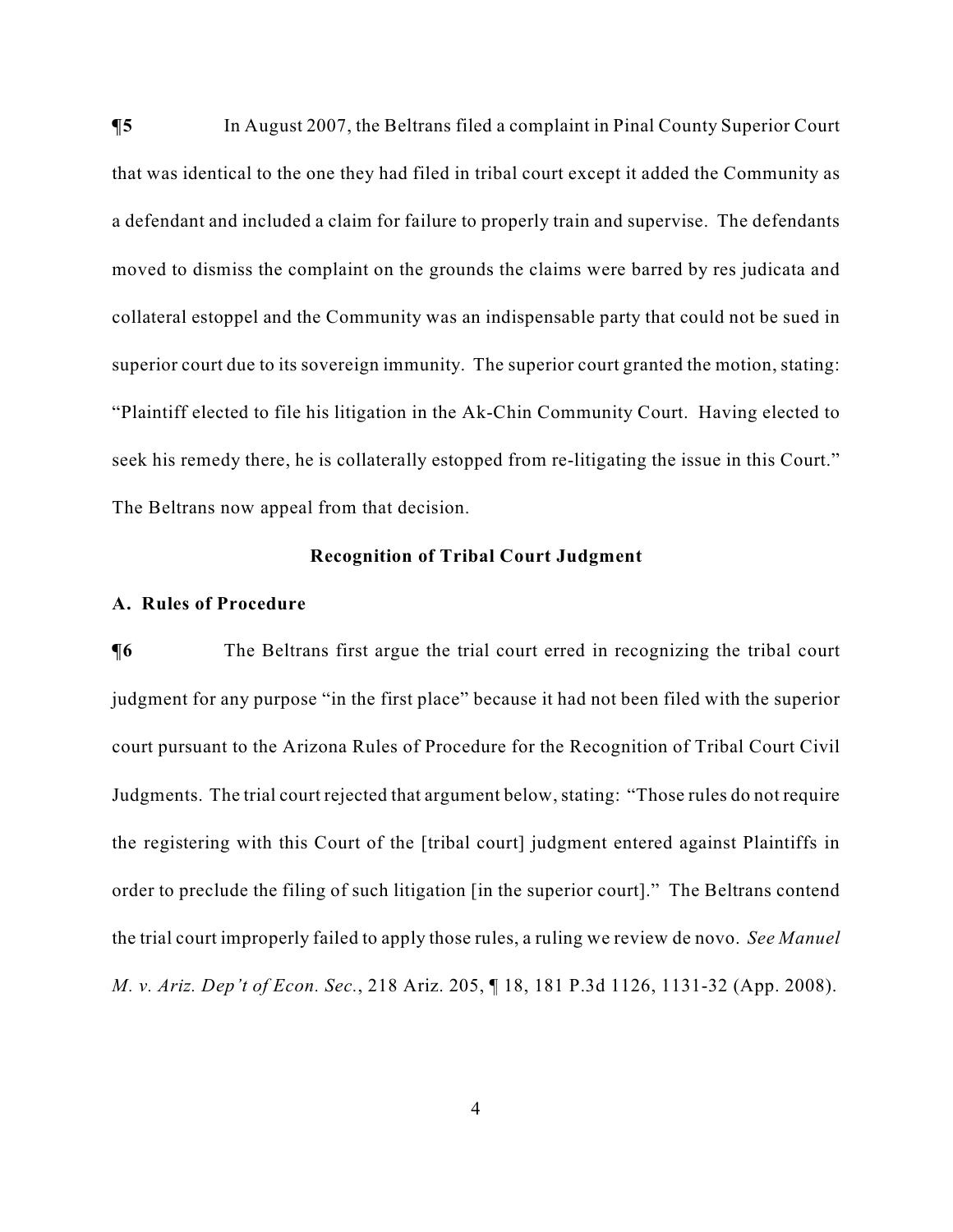$\P$ **5** In August 2007, the Beltrans filed a complaint in Pinal County Superior Court that was identical to the one they had filed in tribal court except it added the Community as a defendant and included a claim for failure to properly train and supervise. The defendants moved to dismiss the complaint on the grounds the claims were barred by res judicata and collateral estoppel and the Community was an indispensable party that could not be sued in superior court due to its sovereign immunity. The superior court granted the motion, stating: "Plaintiff elected to file his litigation in the Ak-Chin Community Court. Having elected to seek his remedy there, he is collaterally estopped from re-litigating the issue in this Court." The Beltrans now appeal from that decision.

## **Recognition of Tribal Court Judgment**

### **A. Rules of Procedure**

 $\P$ **6** The Beltrans first argue the trial court erred in recognizing the tribal court judgment for any purpose "in the first place" because it had not been filed with the superior court pursuant to the Arizona Rules of Procedure for the Recognition of Tribal Court Civil Judgments. The trial court rejected that argument below, stating: "Those rules do not require the registering with this Court of the [tribal court] judgment entered against Plaintiffs in order to preclude the filing of such litigation [in the superior court]." The Beltrans contend the trial court improperly failed to apply those rules, a ruling we review de novo. *See Manuel M. v. Ariz. Dep't of Econ. Sec.*, 218 Ariz. 205, ¶ 18, 181 P.3d 1126, 1131-32 (App. 2008).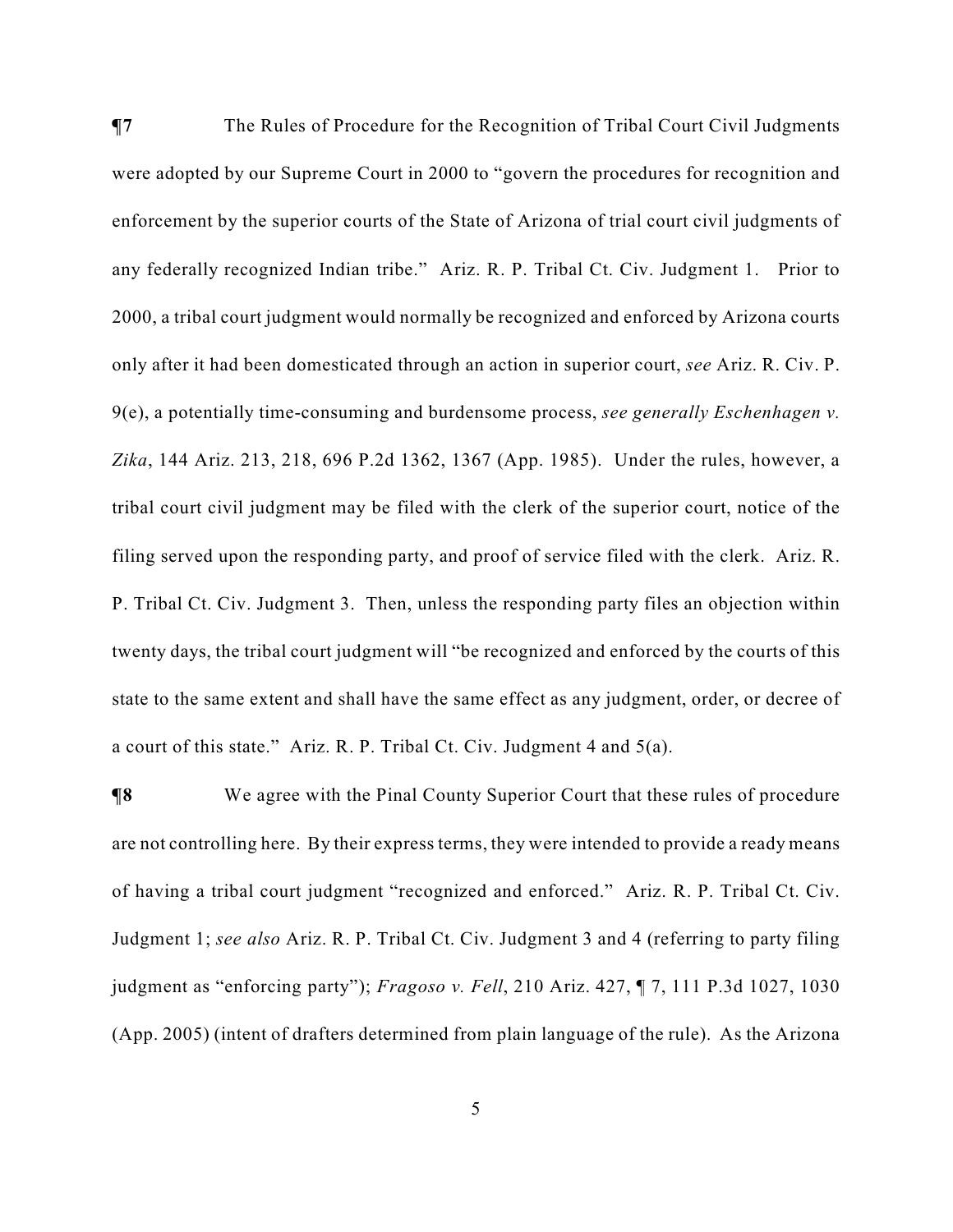**¶7** The Rules of Procedure for the Recognition of Tribal Court Civil Judgments were adopted by our Supreme Court in 2000 to "govern the procedures for recognition and enforcement by the superior courts of the State of Arizona of trial court civil judgments of any federally recognized Indian tribe." Ariz. R. P. Tribal Ct. Civ. Judgment 1. Prior to 2000, a tribal court judgment would normally be recognized and enforced by Arizona courts only after it had been domesticated through an action in superior court, *see* Ariz. R. Civ. P. 9(e), a potentially time-consuming and burdensome process, *see generally Eschenhagen v. Zika*, 144 Ariz. 213, 218, 696 P.2d 1362, 1367 (App. 1985). Under the rules, however, a tribal court civil judgment may be filed with the clerk of the superior court, notice of the filing served upon the responding party, and proof of service filed with the clerk. Ariz. R. P. Tribal Ct. Civ. Judgment 3. Then, unless the responding party files an objection within twenty days, the tribal court judgment will "be recognized and enforced by the courts of this state to the same extent and shall have the same effect as any judgment, order, or decree of a court of this state." Ariz. R. P. Tribal Ct. Civ. Judgment 4 and 5(a).

**¶8** We agree with the Pinal County Superior Court that these rules of procedure are not controlling here. By their express terms, they were intended to provide a ready means of having a tribal court judgment "recognized and enforced." Ariz. R. P. Tribal Ct. Civ. Judgment 1; *see also* Ariz. R. P. Tribal Ct. Civ. Judgment 3 and 4 (referring to party filing judgment as "enforcing party"); *Fragoso v. Fell*, 210 Ariz. 427, ¶ 7, 111 P.3d 1027, 1030 (App. 2005) (intent of drafters determined from plain language of the rule). As the Arizona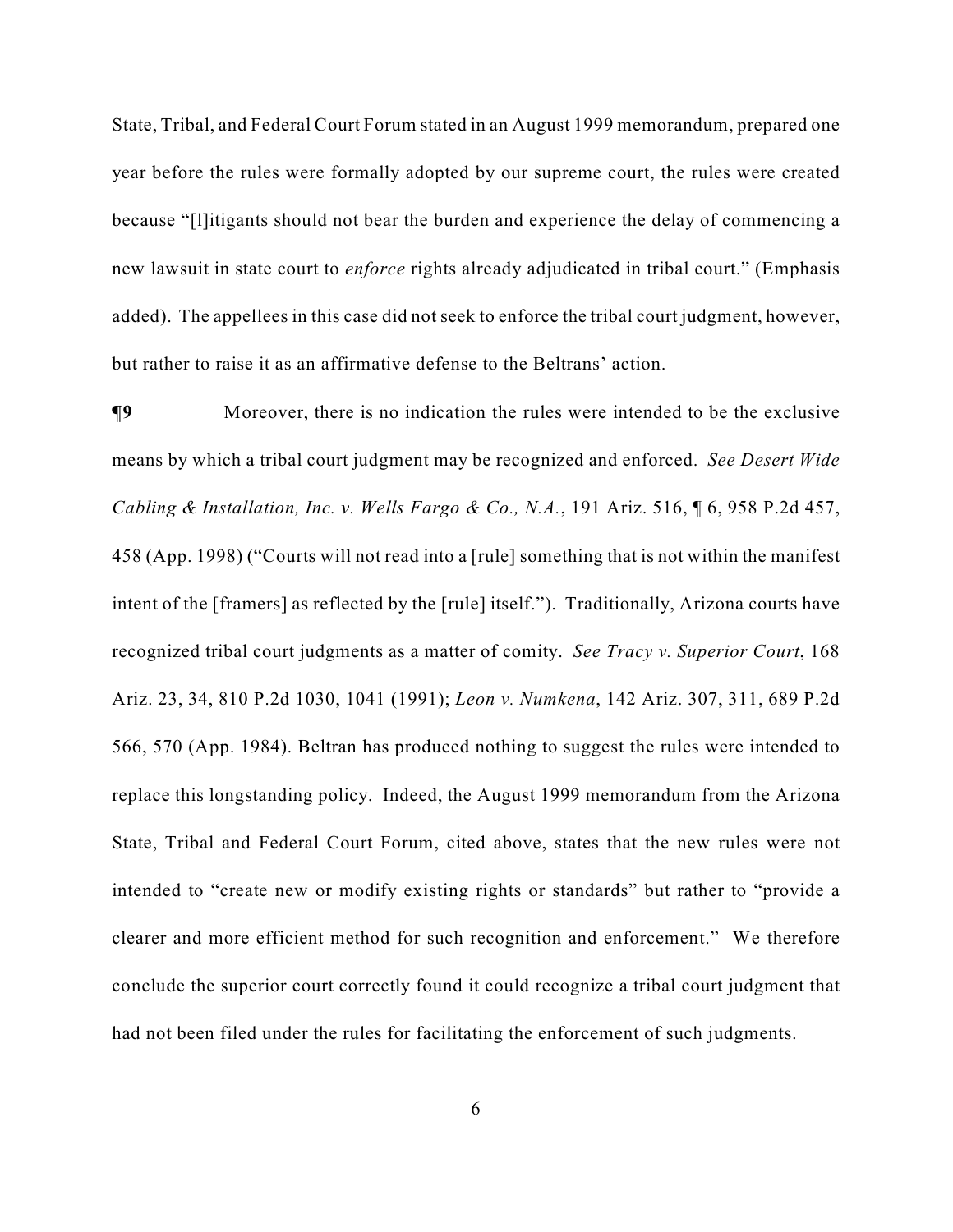State, Tribal, and Federal Court Forum stated in an August 1999 memorandum, prepared one year before the rules were formally adopted by our supreme court, the rules were created because "[l]itigants should not bear the burden and experience the delay of commencing a new lawsuit in state court to *enforce* rights already adjudicated in tribal court." (Emphasis added). The appellees in this case did not seek to enforce the tribal court judgment, however, but rather to raise it as an affirmative defense to the Beltrans' action.

**¶9** Moreover, there is no indication the rules were intended to be the exclusive means by which a tribal court judgment may be recognized and enforced. *See Desert Wide Cabling & Installation, Inc. v. Wells Fargo & Co., N.A.*, 191 Ariz. 516, ¶ 6, 958 P.2d 457, 458 (App. 1998) ("Courts will not read into a [rule] something that is not within the manifest intent of the [framers] as reflected by the [rule] itself."). Traditionally, Arizona courts have recognized tribal court judgments as a matter of comity. *See Tracy v. Superior Court*, 168 Ariz. 23, 34, 810 P.2d 1030, 1041 (1991); *Leon v. Numkena*, 142 Ariz. 307, 311, 689 P.2d 566, 570 (App. 1984). Beltran has produced nothing to suggest the rules were intended to replace this longstanding policy. Indeed, the August 1999 memorandum from the Arizona State, Tribal and Federal Court Forum, cited above, states that the new rules were not intended to "create new or modify existing rights or standards" but rather to "provide a clearer and more efficient method for such recognition and enforcement." We therefore conclude the superior court correctly found it could recognize a tribal court judgment that had not been filed under the rules for facilitating the enforcement of such judgments.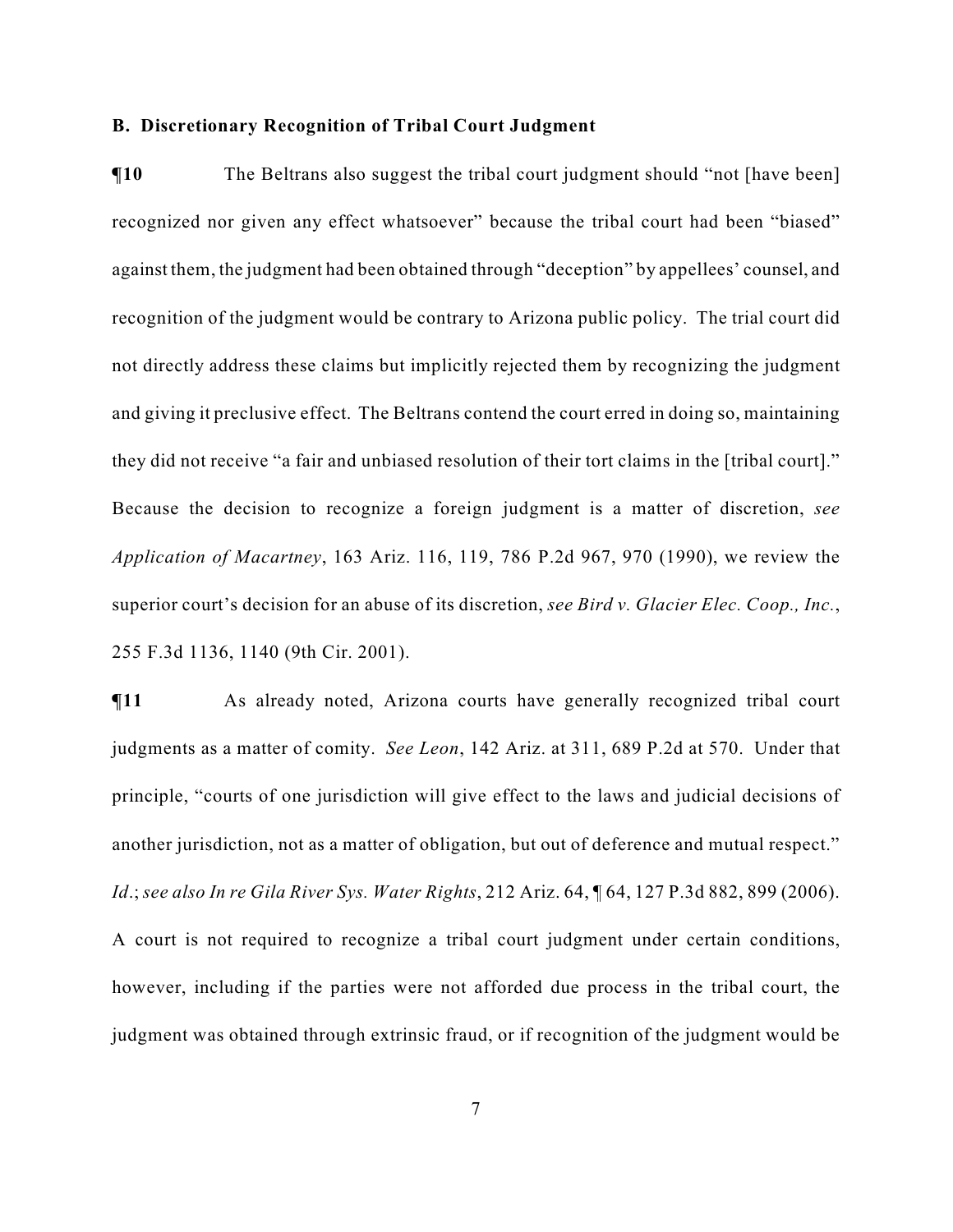#### **B. Discretionary Recognition of Tribal Court Judgment**

 $\P$ **10** The Beltrans also suggest the tribal court judgment should "not [have been] recognized nor given any effect whatsoever" because the tribal court had been "biased" against them, the judgment had been obtained through "deception" by appellees' counsel, and recognition of the judgment would be contrary to Arizona public policy. The trial court did not directly address these claims but implicitly rejected them by recognizing the judgment and giving it preclusive effect. The Beltrans contend the court erred in doing so, maintaining they did not receive "a fair and unbiased resolution of their tort claims in the [tribal court]." Because the decision to recognize a foreign judgment is a matter of discretion, *see Application of Macartney*, 163 Ariz. 116, 119, 786 P.2d 967, 970 (1990), we review the superior court's decision for an abuse of its discretion, *see Bird v. Glacier Elec. Coop., Inc.*, 255 F.3d 1136, 1140 (9th Cir. 2001).

**¶11** As already noted, Arizona courts have generally recognized tribal court judgments as a matter of comity. *See Leon*, 142 Ariz. at 311, 689 P.2d at 570. Under that principle, "courts of one jurisdiction will give effect to the laws and judicial decisions of another jurisdiction, not as a matter of obligation, but out of deference and mutual respect." *Id*.; *see also In re Gila River Sys. Water Rights*, 212 Ariz. 64, ¶ 64, 127 P.3d 882, 899 (2006). A court is not required to recognize a tribal court judgment under certain conditions, however, including if the parties were not afforded due process in the tribal court, the judgment was obtained through extrinsic fraud, or if recognition of the judgment would be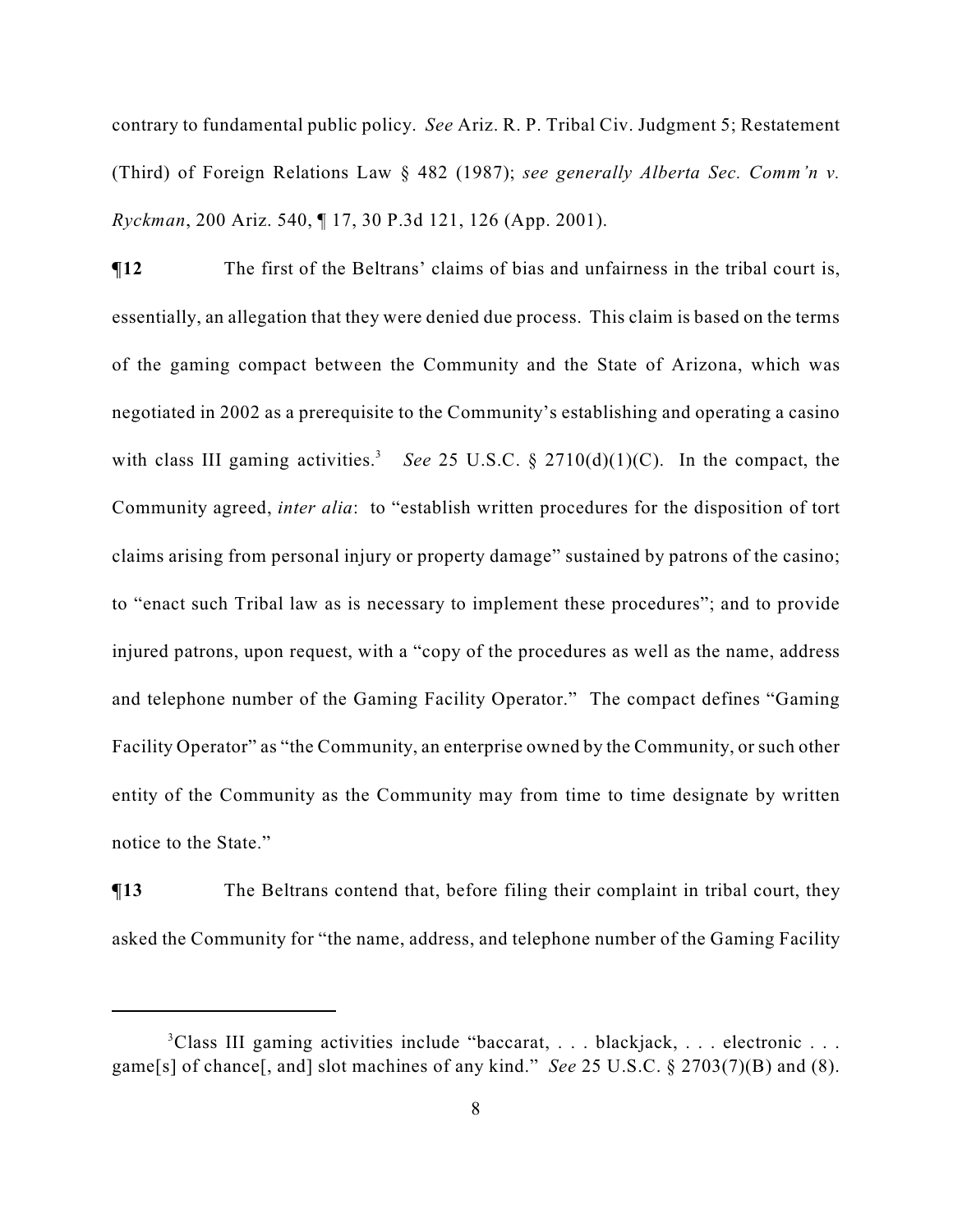contrary to fundamental public policy. *See* Ariz. R. P. Tribal Civ. Judgment 5; Restatement (Third) of Foreign Relations Law § 482 (1987); *see generally Alberta Sec. Comm'n v. Ryckman*, 200 Ariz. 540, ¶ 17, 30 P.3d 121, 126 (App. 2001).

**The first of the Beltrans' claims of bias and unfairness in the tribal court is,** essentially, an allegation that they were denied due process. This claim is based on the terms of the gaming compact between the Community and the State of Arizona, which was negotiated in 2002 as a prerequisite to the Community's establishing and operating a casino with class III gaming activities.<sup>3</sup> See 25 U.S.C.  $\S$  2710(d)(1)(C). In the compact, the Community agreed, *inter alia*: to "establish written procedures for the disposition of tort claims arising from personal injury or property damage" sustained by patrons of the casino; to "enact such Tribal law as is necessary to implement these procedures"; and to provide injured patrons, upon request, with a "copy of the procedures as well as the name, address and telephone number of the Gaming Facility Operator." The compact defines "Gaming Facility Operator" as "the Community, an enterprise owned by the Community, or such other entity of the Community as the Community may from time to time designate by written notice to the State."

 $\P$ **13** The Beltrans contend that, before filing their complaint in tribal court, they asked the Community for "the name, address, and telephone number of the Gaming Facility

 ${}^{3}$ Class III gaming activities include "baccarat, ... blackjack, ... electronic ... game[s] of chance[, and] slot machines of any kind." *See* 25 U.S.C. § 2703(7)(B) and (8).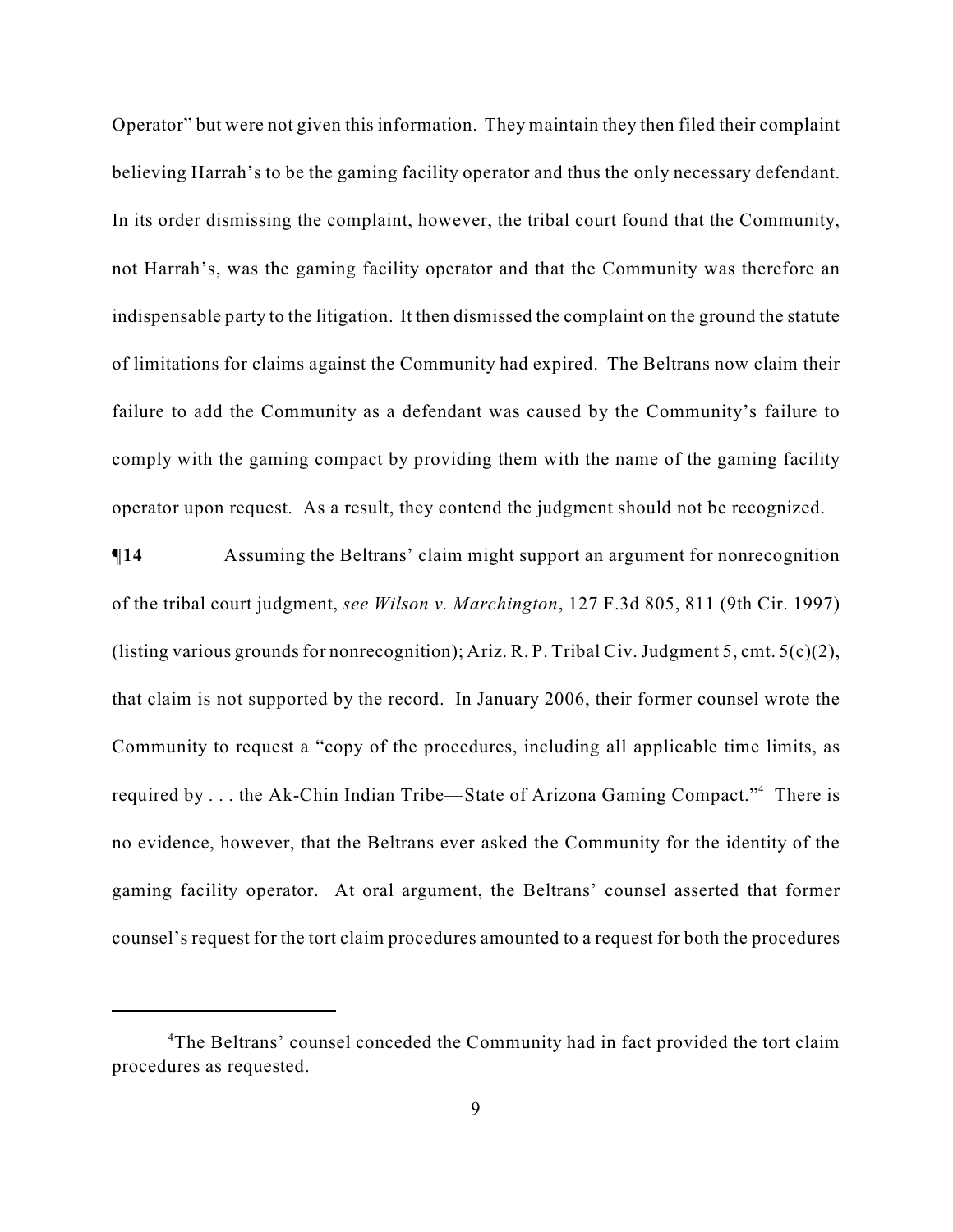Operator" but were not given this information. They maintain they then filed their complaint believing Harrah's to be the gaming facility operator and thus the only necessary defendant. In its order dismissing the complaint, however, the tribal court found that the Community, not Harrah's, was the gaming facility operator and that the Community was therefore an indispensable party to the litigation. It then dismissed the complaint on the ground the statute of limitations for claims against the Community had expired. The Beltrans now claim their failure to add the Community as a defendant was caused by the Community's failure to comply with the gaming compact by providing them with the name of the gaming facility operator upon request. As a result, they contend the judgment should not be recognized.

**¶14** Assuming the Beltrans' claim might support an argument for nonrecognition of the tribal court judgment, *see Wilson v. Marchington*, 127 F.3d 805, 811 (9th Cir. 1997) (listing various grounds for nonrecognition); Ariz. R. P. Tribal Civ. Judgment 5, cmt. 5(c)(2), that claim is not supported by the record. In January 2006, their former counsel wrote the Community to request a "copy of the procedures, including all applicable time limits, as required by  $\ldots$  the Ak-Chin Indian Tribe—State of Arizona Gaming Compact."<sup>4</sup> There is no evidence, however, that the Beltrans ever asked the Community for the identity of the gaming facility operator. At oral argument, the Beltrans' counsel asserted that former counsel's request for the tort claim procedures amounted to a request for both the procedures

<sup>&</sup>lt;sup>4</sup>The Beltrans' counsel conceded the Community had in fact provided the tort claim procedures as requested.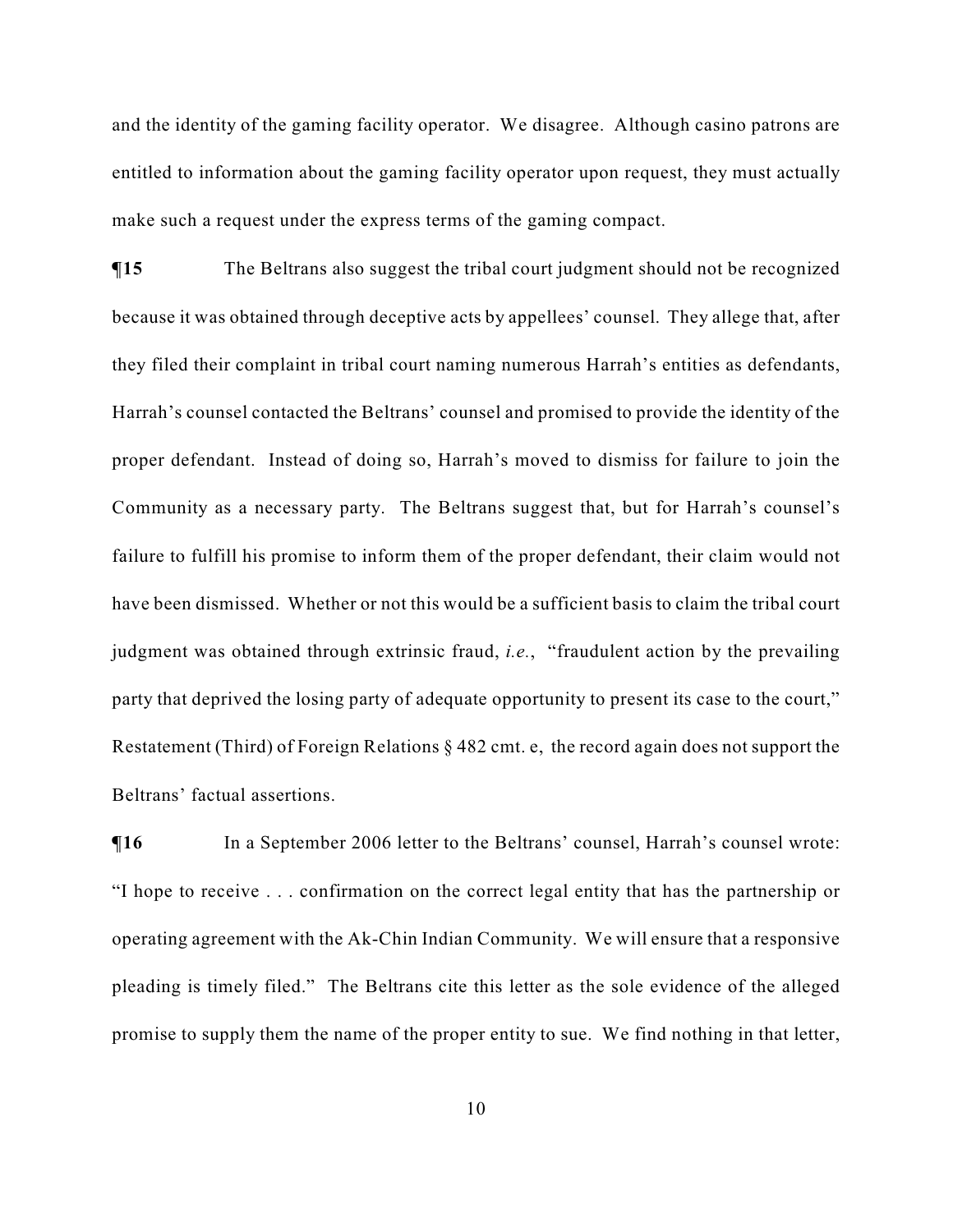and the identity of the gaming facility operator. We disagree. Although casino patrons are entitled to information about the gaming facility operator upon request, they must actually make such a request under the express terms of the gaming compact.

**¶15** The Beltrans also suggest the tribal court judgment should not be recognized because it was obtained through deceptive acts by appellees' counsel. They allege that, after they filed their complaint in tribal court naming numerous Harrah's entities as defendants, Harrah's counsel contacted the Beltrans' counsel and promised to provide the identity of the proper defendant. Instead of doing so, Harrah's moved to dismiss for failure to join the Community as a necessary party. The Beltrans suggest that, but for Harrah's counsel's failure to fulfill his promise to inform them of the proper defendant, their claim would not have been dismissed. Whether or not this would be a sufficient basis to claim the tribal court judgment was obtained through extrinsic fraud, *i.e.*, "fraudulent action by the prevailing party that deprived the losing party of adequate opportunity to present its case to the court," Restatement (Third) of Foreign Relations § 482 cmt. e, the record again does not support the Beltrans' factual assertions.

 $\P$ **16** In a September 2006 letter to the Beltrans' counsel, Harrah's counsel wrote: "I hope to receive . . . confirmation on the correct legal entity that has the partnership or operating agreement with the Ak-Chin Indian Community. We will ensure that a responsive pleading is timely filed." The Beltrans cite this letter as the sole evidence of the alleged promise to supply them the name of the proper entity to sue. We find nothing in that letter,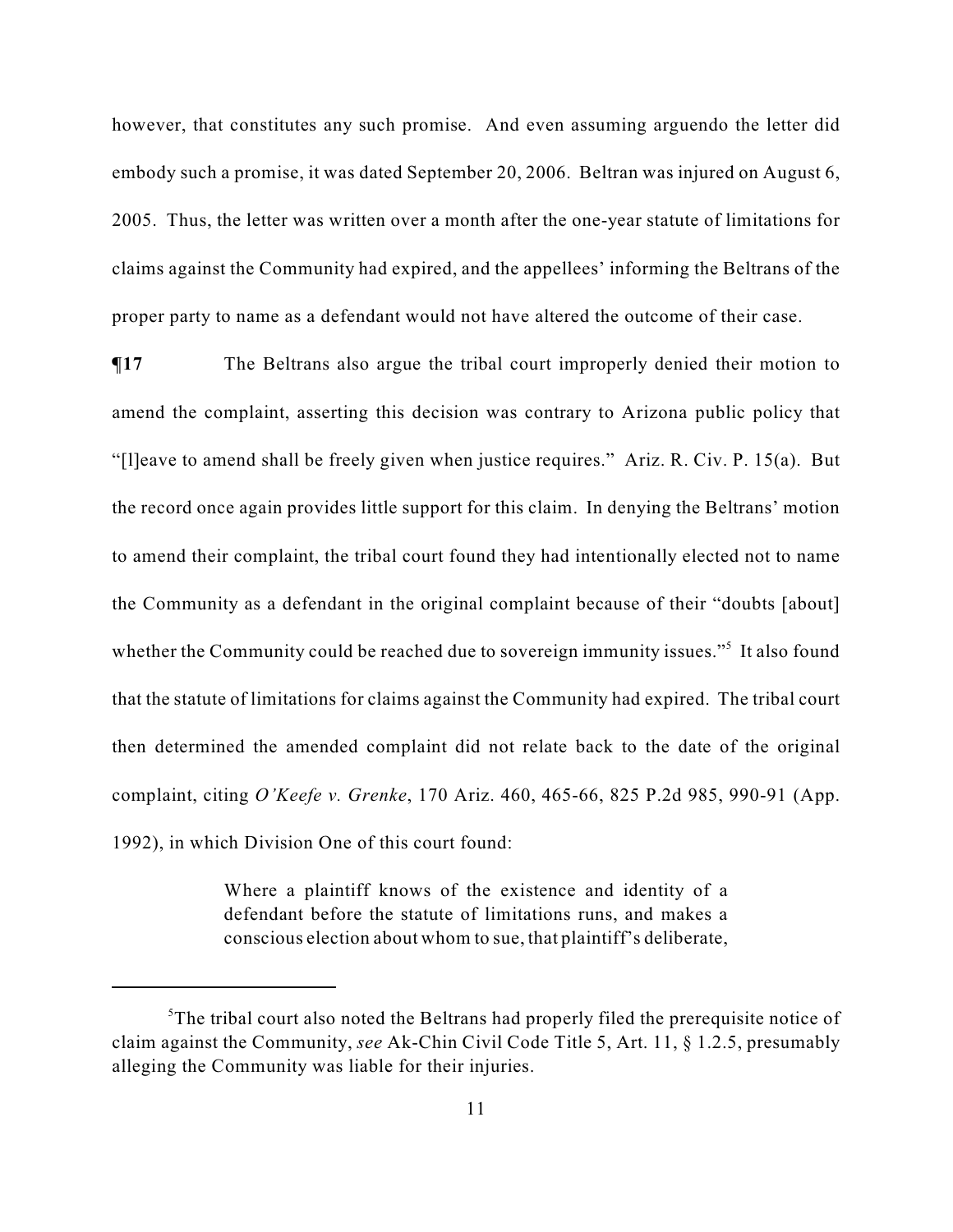however, that constitutes any such promise. And even assuming arguendo the letter did embody such a promise, it was dated September 20, 2006. Beltran was injured on August 6, 2005. Thus, the letter was written over a month after the one-year statute of limitations for claims against the Community had expired, and the appellees' informing the Beltrans of the proper party to name as a defendant would not have altered the outcome of their case.

**¶17** The Beltrans also argue the tribal court improperly denied their motion to amend the complaint, asserting this decision was contrary to Arizona public policy that "[l]eave to amend shall be freely given when justice requires." Ariz. R. Civ. P. 15(a). But the record once again provides little support for this claim. In denying the Beltrans' motion to amend their complaint, the tribal court found they had intentionally elected not to name the Community as a defendant in the original complaint because of their "doubts [about] whether the Community could be reached due to sovereign immunity issues."<sup>5</sup> It also found that the statute of limitations for claims against the Community had expired. The tribal court then determined the amended complaint did not relate back to the date of the original complaint, citing *O'Keefe v. Grenke*, 170 Ariz. 460, 465-66, 825 P.2d 985, 990-91 (App. 1992), in which Division One of this court found:

> Where a plaintiff knows of the existence and identity of a defendant before the statute of limitations runs, and makes a conscious election about whom to sue, that plaintiff's deliberate,

 ${}^{5}$ The tribal court also noted the Beltrans had properly filed the prerequisite notice of claim against the Community, *see* Ak-Chin Civil Code Title 5, Art. 11, § 1.2.5, presumably alleging the Community was liable for their injuries.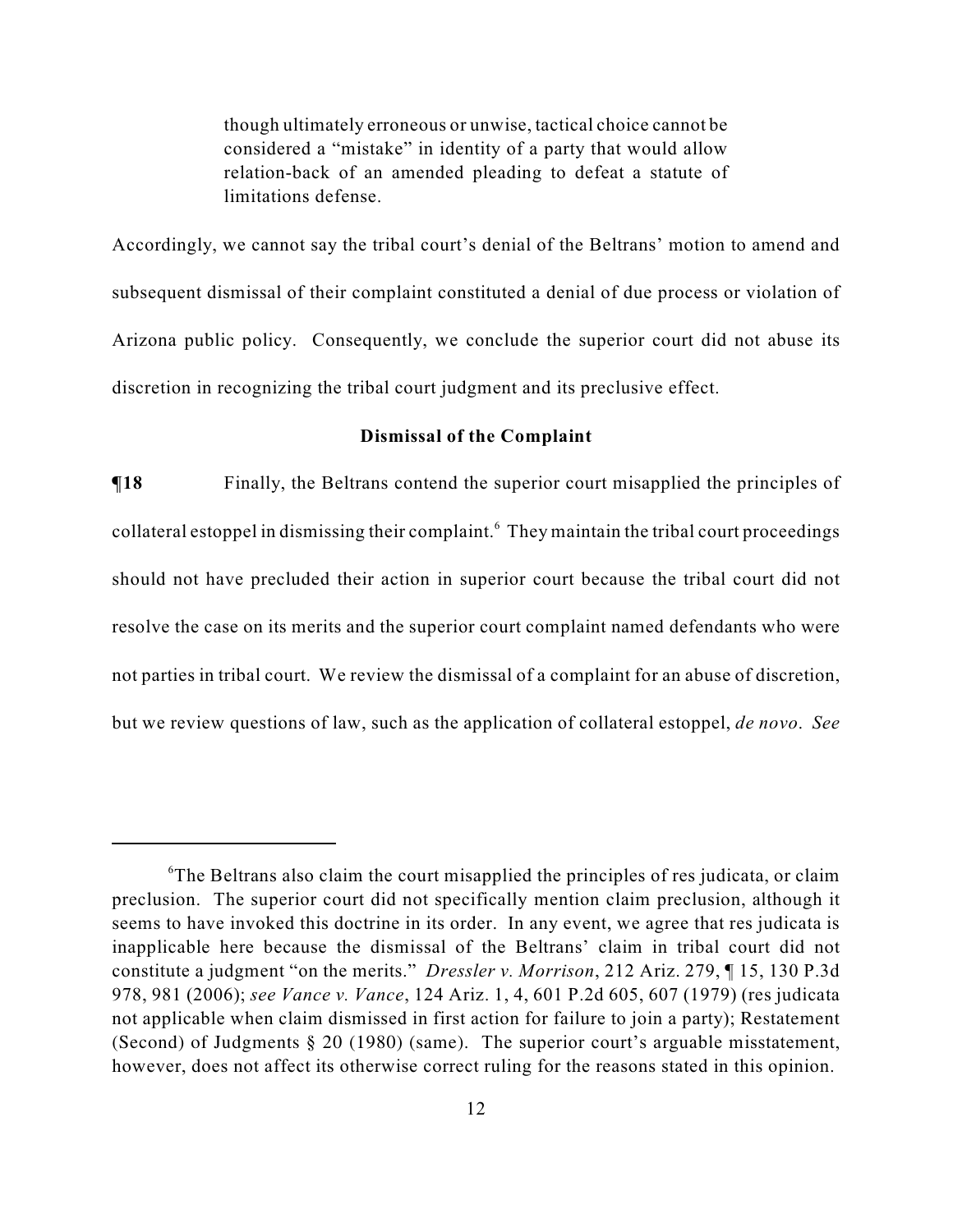though ultimately erroneous or unwise, tactical choice cannot be considered a "mistake" in identity of a party that would allow relation-back of an amended pleading to defeat a statute of limitations defense.

Accordingly, we cannot say the tribal court's denial of the Beltrans' motion to amend and subsequent dismissal of their complaint constituted a denial of due process or violation of Arizona public policy. Consequently, we conclude the superior court did not abuse its discretion in recognizing the tribal court judgment and its preclusive effect.

#### **Dismissal of the Complaint**

**The Finally, the Beltrans contend the superior court misapplied the principles of** collateral estoppel in dismissing their complaint.<sup>6</sup> They maintain the tribal court proceedings should not have precluded their action in superior court because the tribal court did not resolve the case on its merits and the superior court complaint named defendants who were not parties in tribal court. We review the dismissal of a complaint for an abuse of discretion, but we review questions of law, such as the application of collateral estoppel, *de novo*. *See*

 ${}^6$ The Beltrans also claim the court misapplied the principles of res judicata, or claim preclusion. The superior court did not specifically mention claim preclusion, although it seems to have invoked this doctrine in its order. In any event, we agree that res judicata is inapplicable here because the dismissal of the Beltrans' claim in tribal court did not constitute a judgment "on the merits." *Dressler v. Morrison*, 212 Ariz. 279, ¶ 15, 130 P.3d 978, 981 (2006); *see Vance v. Vance*, 124 Ariz. 1, 4, 601 P.2d 605, 607 (1979) (res judicata not applicable when claim dismissed in first action for failure to join a party); Restatement (Second) of Judgments § 20 (1980) (same). The superior court's arguable misstatement, however, does not affect its otherwise correct ruling for the reasons stated in this opinion.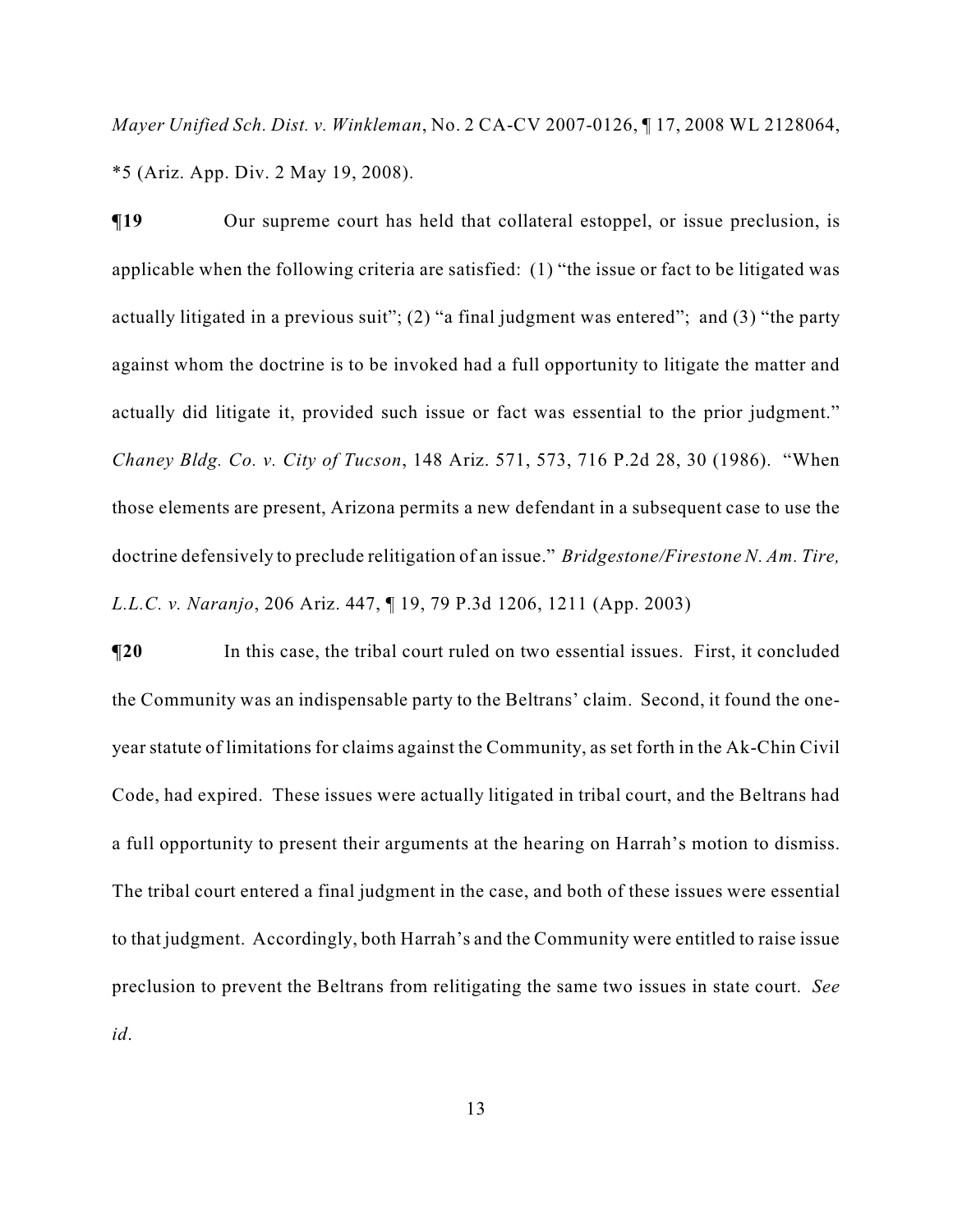*Mayer Unified Sch. Dist. v. Winkleman*, No. 2 CA-CV 2007-0126, ¶ 17, 2008 WL 2128064, \*5 (Ariz. App. Div. 2 May 19, 2008).

 $\P$ **19** Our supreme court has held that collateral estoppel, or issue preclusion, is applicable when the following criteria are satisfied: (1) "the issue or fact to be litigated was actually litigated in a previous suit"; (2) "a final judgment was entered"; and (3) "the party against whom the doctrine is to be invoked had a full opportunity to litigate the matter and actually did litigate it, provided such issue or fact was essential to the prior judgment." *Chaney Bldg. Co. v. City of Tucson*, 148 Ariz. 571, 573, 716 P.2d 28, 30 (1986). "When those elements are present, Arizona permits a new defendant in a subsequent case to use the doctrine defensively to preclude relitigation of an issue." *Bridgestone/Firestone N. Am. Tire, L.L.C. v. Naranjo*, 206 Ariz. 447, ¶ 19, 79 P.3d 1206, 1211 (App. 2003)

**The Industry of the Termin Court Figure 1.1** In this case, the tribal court ruled on two essential issues. First, it concluded the Community was an indispensable party to the Beltrans' claim. Second, it found the oneyear statute of limitations for claims against the Community, as set forth in the Ak-Chin Civil Code, had expired. These issues were actually litigated in tribal court, and the Beltrans had a full opportunity to present their arguments at the hearing on Harrah's motion to dismiss. The tribal court entered a final judgment in the case, and both of these issues were essential to that judgment. Accordingly, both Harrah's and the Community were entitled to raise issue preclusion to prevent the Beltrans from relitigating the same two issues in state court. *See id*.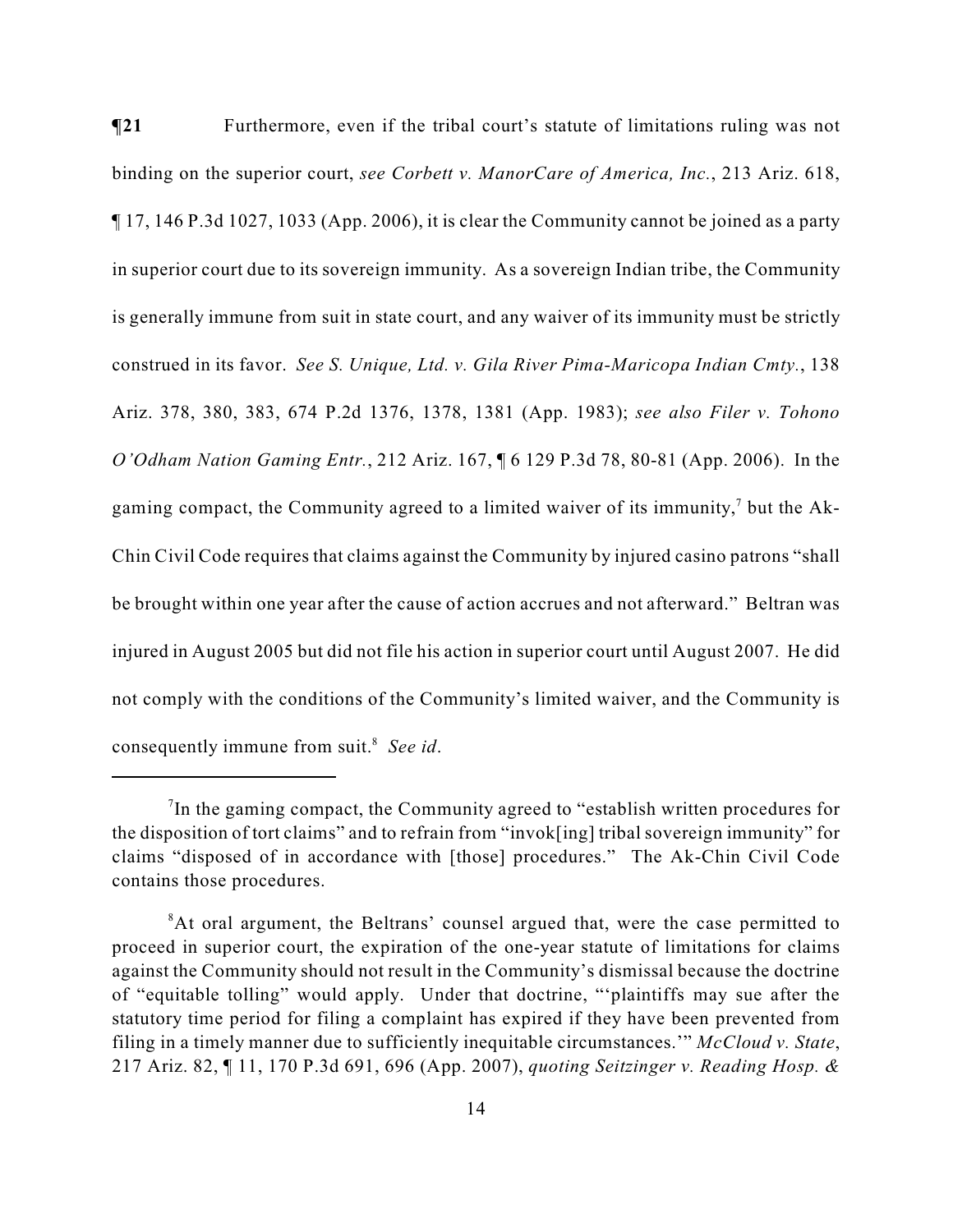**¶21** Furthermore, even if the tribal court's statute of limitations ruling was not binding on the superior court, *see Corbett v. ManorCare of America, Inc.*, 213 Ariz. 618, ¶ 17, 146 P.3d 1027, 1033 (App. 2006), it is clear the Community cannot be joined as a party in superior court due to its sovereign immunity. As a sovereign Indian tribe, the Community is generally immune from suit in state court, and any waiver of its immunity must be strictly construed in its favor. *See S. Unique, Ltd. v. Gila River Pima-Maricopa Indian Cmty.*, 138 Ariz. 378, 380, 383, 674 P.2d 1376, 1378, 1381 (App. 1983); *see also Filer v. Tohono O'Odham Nation Gaming Entr.*, 212 Ariz. 167, ¶ 6 129 P.3d 78, 80-81 (App. 2006). In the gaming compact, the Community agreed to a limited waiver of its immunity,<sup>7</sup> but the Ak-Chin Civil Code requires that claims against the Community by injured casino patrons "shall be brought within one year after the cause of action accrues and not afterward." Beltran was injured in August 2005 but did not file his action in superior court until August 2007. He did not comply with the conditions of the Community's limited waiver, and the Community is consequently immune from suit.<sup>8</sup> See id.

In the gaming compact, the Community agreed to "establish written procedures for the disposition of tort claims" and to refrain from "invok[ing] tribal sovereign immunity" for claims "disposed of in accordance with [those] procedures." The Ak-Chin Civil Code contains those procedures.

<sup>&</sup>lt;sup>8</sup>At oral argument, the Beltrans' counsel argued that, were the case permitted to proceed in superior court, the expiration of the one-year statute of limitations for claims against the Community should not result in the Community's dismissal because the doctrine of "equitable tolling" would apply. Under that doctrine, "'plaintiffs may sue after the statutory time period for filing a complaint has expired if they have been prevented from filing in a timely manner due to sufficiently inequitable circumstances.'" *McCloud v. State*, 217 Ariz. 82, ¶ 11, 170 P.3d 691, 696 (App. 2007), *quoting Seitzinger v. Reading Hosp. &*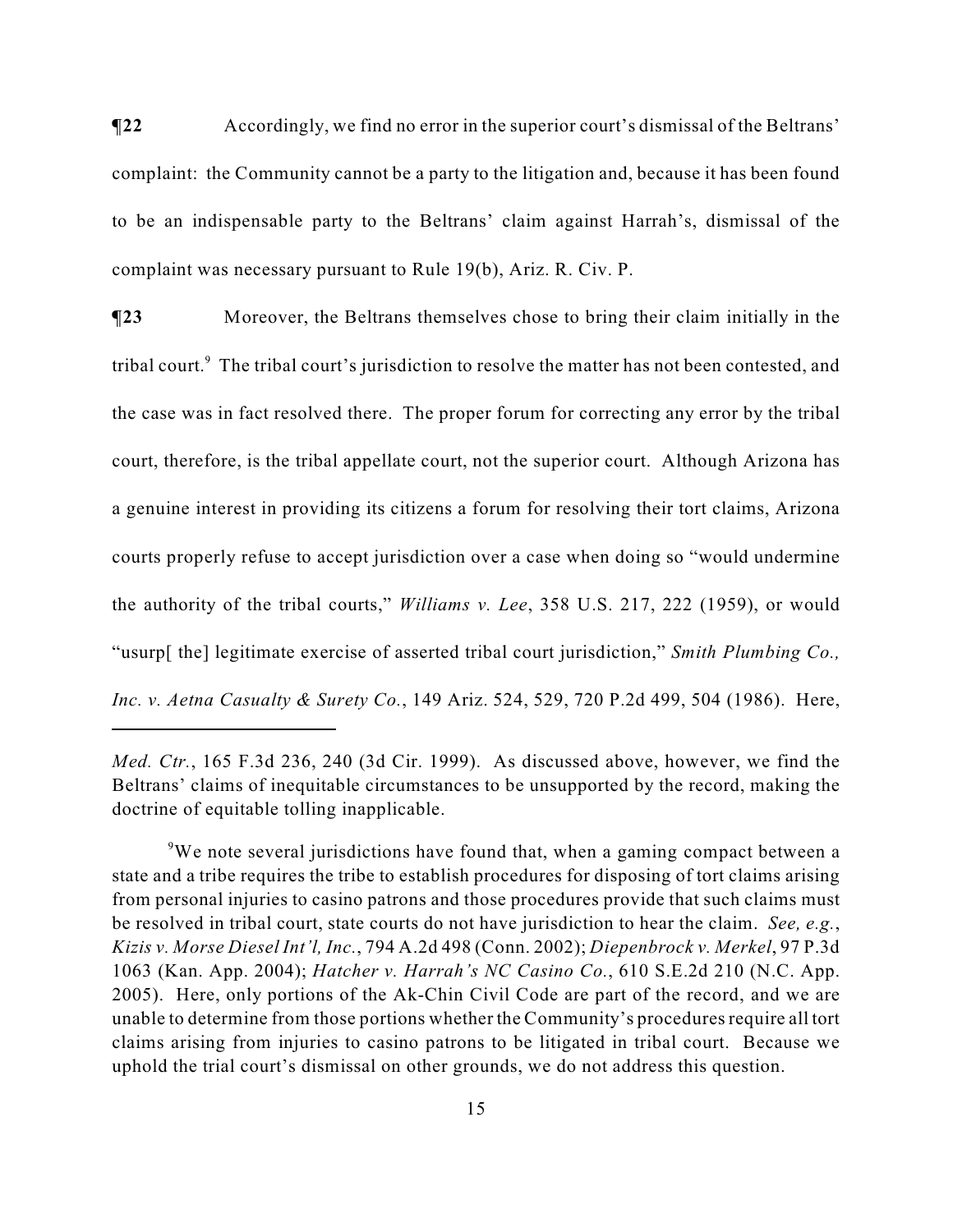**¶22** Accordingly, we find no error in the superior court's dismissal of the Beltrans' complaint: the Community cannot be a party to the litigation and, because it has been found to be an indispensable party to the Beltrans' claim against Harrah's, dismissal of the complaint was necessary pursuant to Rule 19(b), Ariz. R. Civ. P.

**¶23** Moreover, the Beltrans themselves chose to bring their claim initially in the tribal court.<sup>9</sup> The tribal court's jurisdiction to resolve the matter has not been contested, and the case was in fact resolved there. The proper forum for correcting any error by the tribal court, therefore, is the tribal appellate court, not the superior court. Although Arizona has a genuine interest in providing its citizens a forum for resolving their tort claims, Arizona courts properly refuse to accept jurisdiction over a case when doing so "would undermine the authority of the tribal courts," *Williams v. Lee*, 358 U.S. 217, 222 (1959), or would "usurp[ the] legitimate exercise of asserted tribal court jurisdiction," *Smith Plumbing Co., Inc. v. Aetna Casualty & Surety Co.*, 149 Ariz. 524, 529, 720 P.2d 499, 504 (1986). Here,

*Med. Ctr.*, 165 F.3d 236, 240 (3d Cir. 1999). As discussed above, however, we find the Beltrans' claims of inequitable circumstances to be unsupported by the record, making the doctrine of equitable tolling inapplicable.

<sup>&</sup>lt;sup>9</sup>We note several jurisdictions have found that, when a gaming compact between a state and a tribe requires the tribe to establish procedures for disposing of tort claims arising from personal injuries to casino patrons and those procedures provide that such claims must be resolved in tribal court, state courts do not have jurisdiction to hear the claim. *See, e.g.*, *Kizis v. Morse Diesel Int'l, Inc.*, 794 A.2d 498 (Conn. 2002); *Diepenbrock v. Merkel*, 97 P.3d 1063 (Kan. App. 2004); *Hatcher v. Harrah's NC Casino Co.*, 610 S.E.2d 210 (N.C. App. 2005). Here, only portions of the Ak-Chin Civil Code are part of the record, and we are unable to determine from those portions whether the Community's procedures require all tort claims arising from injuries to casino patrons to be litigated in tribal court. Because we uphold the trial court's dismissal on other grounds, we do not address this question.